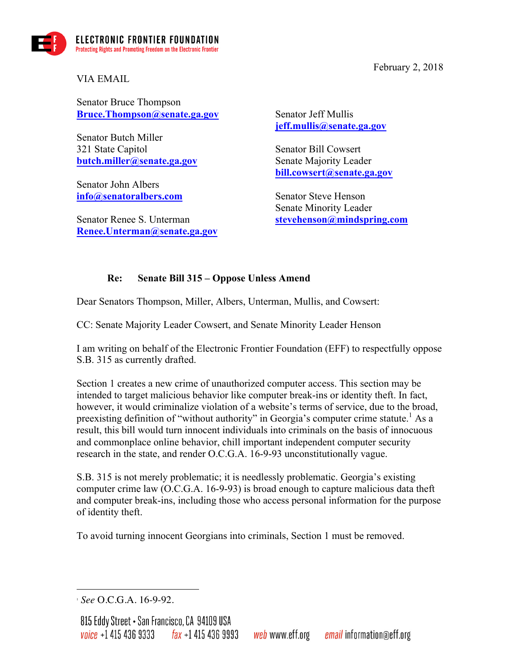

February 2, 2018

VIA EMAIL

Senator Bruce Thompson **Bruce.Thompson@senate.ga.gov**

Senator Butch Miller 321 State Capitol **butch.miller@senate.ga.gov**

Senator John Albers **info@senatoralbers.com**

Senator Renee S. Unterman **Renee.Unterman@senate.ga.gov** Senator Jeff Mullis **jeff.mullis@senate.ga.gov**

Senator Bill Cowsert Senate Majority Leader **bill.cowsert@senate.ga.gov**

Senator Steve Henson Senate Minority Leader **stevehenson@mindspring.com**

## **Re: Senate Bill 315 – Oppose Unless Amend**

Dear Senators Thompson, Miller, Albers, Unterman, Mullis, and Cowsert:

CC: Senate Majority Leader Cowsert, and Senate Minority Leader Henson

I am writing on behalf of the Electronic Frontier Foundation (EFF) to respectfully oppose S.B. 315 as currently drafted.

Section 1 creates a new crime of unauthorized computer access. This section may be intended to target malicious behavior like computer break-ins or identity theft. In fact, however, it would criminalize violation of a website's terms of service, due to the broad, preexisting definition of "without authority" in Georgia's computer crime statute.<sup>1</sup> As a result, this bill would turn innocent individuals into criminals on the basis of innocuous and commonplace online behavior, chill important independent computer security research in the state, and render O.C.G.A. 16-9-93 unconstitutionally vague.

S.B. 315 is not merely problematic; it is needlessly problematic. Georgia's existing computer crime law (O.C.G.A. 16-9-93) is broad enough to capture malicious data theft and computer break-ins, including those who access personal information for the purpose of identity theft.

To avoid turning innocent Georgians into criminals, Section 1 must be removed.

<sup>1</sup> <sup>1</sup> *See* O.C.G.A. 16-9-92.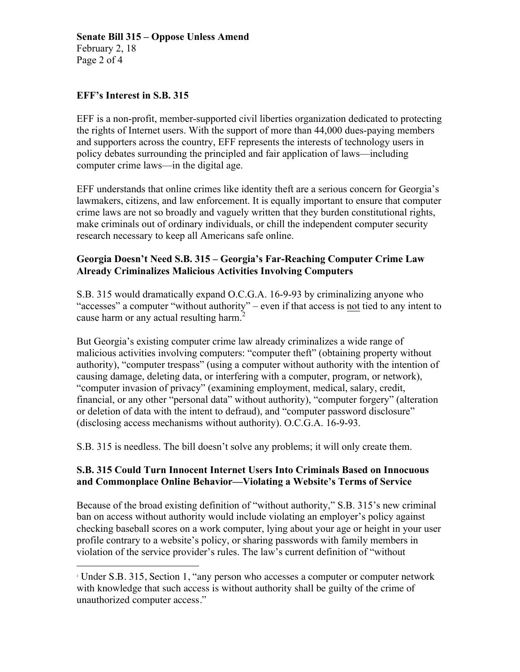# **Senate Bill 315 – Oppose Unless Amend**

February 2, 18 Page 2 of 4

1

#### **EFF's Interest in S.B. 315**

EFF is a non-profit, member-supported civil liberties organization dedicated to protecting the rights of Internet users. With the support of more than 44,000 dues-paying members and supporters across the country, EFF represents the interests of technology users in policy debates surrounding the principled and fair application of laws—including computer crime laws—in the digital age.

EFF understands that online crimes like identity theft are a serious concern for Georgia's lawmakers, citizens, and law enforcement. It is equally important to ensure that computer crime laws are not so broadly and vaguely written that they burden constitutional rights, make criminals out of ordinary individuals, or chill the independent computer security research necessary to keep all Americans safe online.

### **Georgia Doesn't Need S.B. 315 – Georgia's Far-Reaching Computer Crime Law Already Criminalizes Malicious Activities Involving Computers**

S.B. 315 would dramatically expand O.C.G.A. 16-9-93 by criminalizing anyone who "accesses" a computer "without authority" – even if that access is not tied to any intent to cause harm or any actual resulting harm.<sup>2</sup>

But Georgia's existing computer crime law already criminalizes a wide range of malicious activities involving computers: "computer theft" (obtaining property without authority), "computer trespass" (using a computer without authority with the intention of causing damage, deleting data, or interfering with a computer, program, or network), "computer invasion of privacy" (examining employment, medical, salary, credit, financial, or any other "personal data" without authority), "computer forgery" (alteration or deletion of data with the intent to defraud), and "computer password disclosure" (disclosing access mechanisms without authority). O.C.G.A. 16-9-93.

S.B. 315 is needless. The bill doesn't solve any problems; it will only create them.

#### **S.B. 315 Could Turn Innocent Internet Users Into Criminals Based on Innocuous and Commonplace Online Behavior—Violating a Website's Terms of Service**

Because of the broad existing definition of "without authority," S.B. 315's new criminal ban on access without authority would include violating an employer's policy against checking baseball scores on a work computer, lying about your age or height in your user profile contrary to a website's policy, or sharing passwords with family members in violation of the service provider's rules. The law's current definition of "without

<sup>&</sup>lt;sup>2</sup> Under S.B. 315, Section 1, "any person who accesses a computer or computer network with knowledge that such access is without authority shall be guilty of the crime of unauthorized computer access."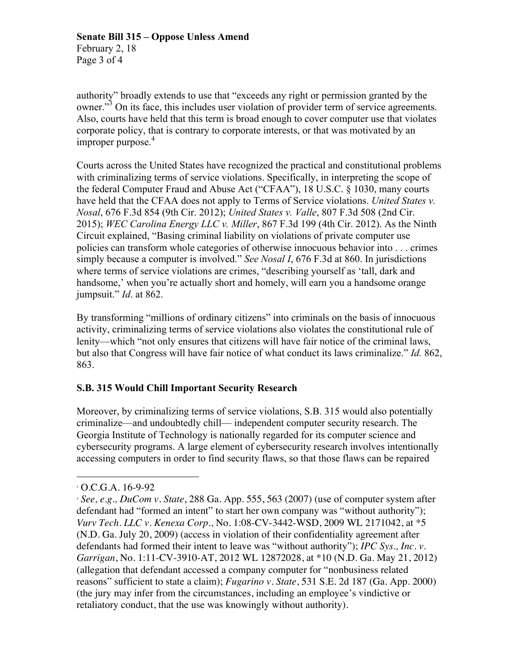Page 3 of 4

authority" broadly extends to use that "exceeds any right or permission granted by the owner.<sup>33</sup> On its face, this includes user violation of provider term of service agreements. Also, courts have held that this term is broad enough to cover computer use that violates corporate policy, that is contrary to corporate interests, or that was motivated by an improper purpose.<sup>4</sup>

Courts across the United States have recognized the practical and constitutional problems with criminalizing terms of service violations. Specifically, in interpreting the scope of the federal Computer Fraud and Abuse Act ("CFAA"), 18 U.S.C. § 1030, many courts have held that the CFAA does not apply to Terms of Service violations. *United States v. Nosal*, 676 F.3d 854 (9th Cir. 2012); *United States v. Valle*, 807 F.3d 508 (2nd Cir. 2015); *WEC Carolina Energy LLC v. Miller*, 867 F.3d 199 (4th Cir. 2012). As the Ninth Circuit explained, "Basing criminal liability on violations of private computer use policies can transform whole categories of otherwise innocuous behavior into . . . crimes simply because a computer is involved." *See Nosal I*, 676 F.3d at 860. In jurisdictions where terms of service violations are crimes, "describing yourself as 'tall, dark and handsome,' when you're actually short and homely, will earn you a handsome orange jumpsuit." *Id*. at 862.

By transforming "millions of ordinary citizens" into criminals on the basis of innocuous activity, criminalizing terms of service violations also violates the constitutional rule of lenity—which "not only ensures that citizens will have fair notice of the criminal laws, but also that Congress will have fair notice of what conduct its laws criminalize." *Id.* 862, 863.

## **S.B. 315 Would Chill Important Security Research**

Moreover, by criminalizing terms of service violations, S.B. 315 would also potentially criminalize—and undoubtedly chill— independent computer security research. The Georgia Institute of Technology is nationally regarded for its computer science and cybersecurity programs. A large element of cybersecurity research involves intentionally accessing computers in order to find security flaws, so that those flaws can be repaired

1

<sup>3</sup> O.C.G.A. 16-9-92

<sup>4</sup> *See, e.g., DuCom v. State*, 288 Ga. App. 555, 563 (2007) (use of computer system after defendant had "formed an intent" to start her own company was "without authority"); *Vurv Tech. LLC v. Kenexa Corp*., No. 1:08-CV-3442-WSD, 2009 WL 2171042, at \*5 (N.D. Ga. July 20, 2009) (access in violation of their confidentiality agreement after defendants had formed their intent to leave was "without authority"); *IPC Sys., Inc. v. Garrigan*, No. 1:11-CV-3910-AT, 2012 WL 12872028, at \*10 (N.D. Ga. May 21, 2012) (allegation that defendant accessed a company computer for "nonbusiness related reasons" sufficient to state a claim); *Fugarino v. State*, 531 S.E. 2d 187 (Ga. App. 2000) (the jury may infer from the circumstances, including an employee's vindictive or retaliatory conduct, that the use was knowingly without authority).